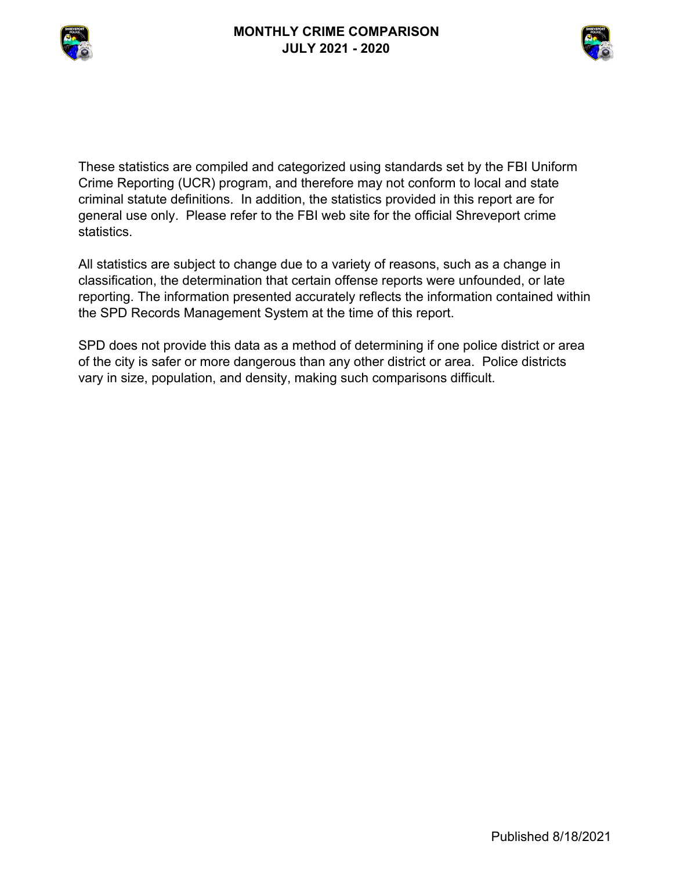



These statistics are compiled and categorized using standards set by the FBI Uniform Crime Reporting (UCR) program, and therefore may not conform to local and state criminal statute definitions. In addition, the statistics provided in this report are for general use only. Please refer to the FBI web site for the official Shreveport crime statistics.

All statistics are subject to change due to a variety of reasons, such as a change in classification, the determination that certain offense reports were unfounded, or late reporting. The information presented accurately reflects the information contained within the SPD Records Management System at the time of this report.

SPD does not provide this data as a method of determining if one police district or area of the city is safer or more dangerous than any other district or area. Police districts vary in size, population, and density, making such comparisons difficult.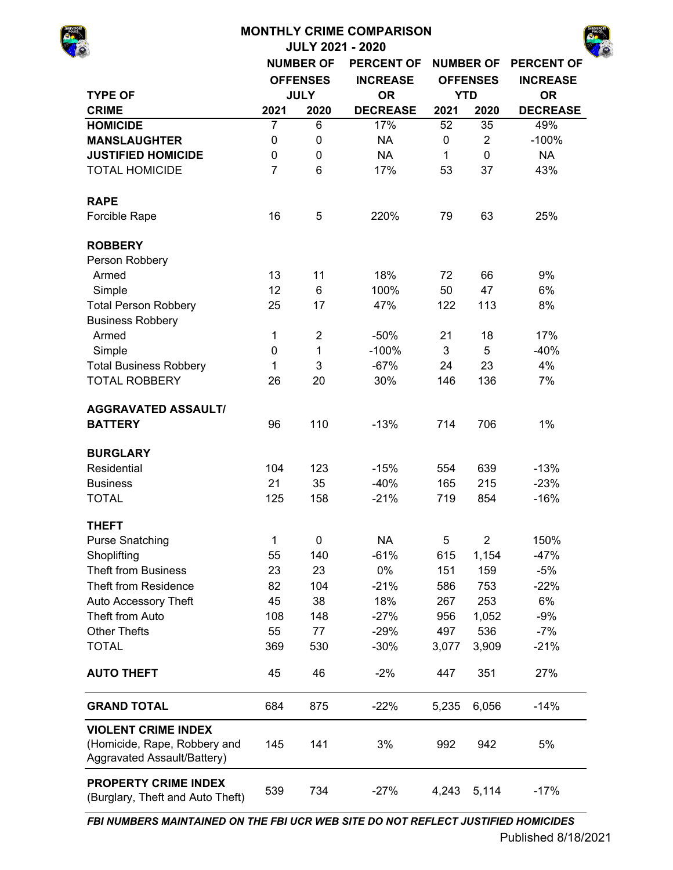# **MONTHLY CRIME COMPARISON JULY 2021 - 2020 NUMBER OF PERCENT OF NUMBER OF PERCENT OF INCREASE INCREASE TYPE OF OR OR CRIME 2021 2020 DECREASE 2021 2020 DECREASE HOMICIDE** 7 6 17% 52 35 49% **MANSLAUGHTER** 0 0 NA 0 2 -100% **JUSTIFIED HOMICIDE** 0 0 NA 1 0 NA TOTAL HOMICIDE 7 6 17% 53 37 43% **RAPE** Forcible Rape 16 16 5 220% 79 63 25% **ROBBERY** Person Robbery Armed 13 11 18% 72 66 9% Simple 12 6 100% 50 47 6% Total Person Robbery 25 17 47% 122 113 8% Business Robbery Armed 1 2 -50% 21 18 17% Simple 6 1 0 1 -100% 3 5 -40% Total Business Robbery 1 3 -67% 24 23 4% TOTAL ROBBERY 26 20 30% 146 136 7% **AGGRAVATED ASSAULT/ BATTERY** 96 110 -13% 714 706 1% **BURGLARY** Residential 104 123 -15% 554 639 -13% Business 21 35 -40% 165 215 -23% TOTAL 125 158 -21% 719 854 -16% **THEFT** Purse Snatching  $\begin{array}{ccccccc} 1 & 0 & 0 & 5 & 2 & 150\% \end{array}$ Shoplifting 30 30 55 140 -61% 615 1,154 -47% Theft from Business 23 23 0% 151 159 -5% Theft from Residence 82 104 -21% 586 753 -22% Auto Accessory Theft  $45$  38 18% 267 253 6% Theft from Auto **108** 148 -27% 956 1,052 -9% Other Thefts 55 77 -29% 497 536 -7% TOTAL 369 530 -30% 3,077 3,909 -21% **AUTO THEFT**  $45 \t 46 \t -2\t 447 \t 351 \t 27\%$ **GRAND TOTAL** 684 875 -22% 5,235 6,056 -14% 145 141 3% 992 942 5% **VIOLENT CRIME INDEX**  (Homicide, Rape, Robbery and Aggravated Assault/Battery) **OFFENSES JULY YTD**

*FBI NUMBERS MAINTAINED ON THE FBI UCR WEB SITE DO NOT REFLECT JUSTIFIED HOMICIDES*

**PROPERTY CRIME INDEX**  (Burglary, Theft and Auto Theft)

539 734 -27% 4,243 5,114 -17%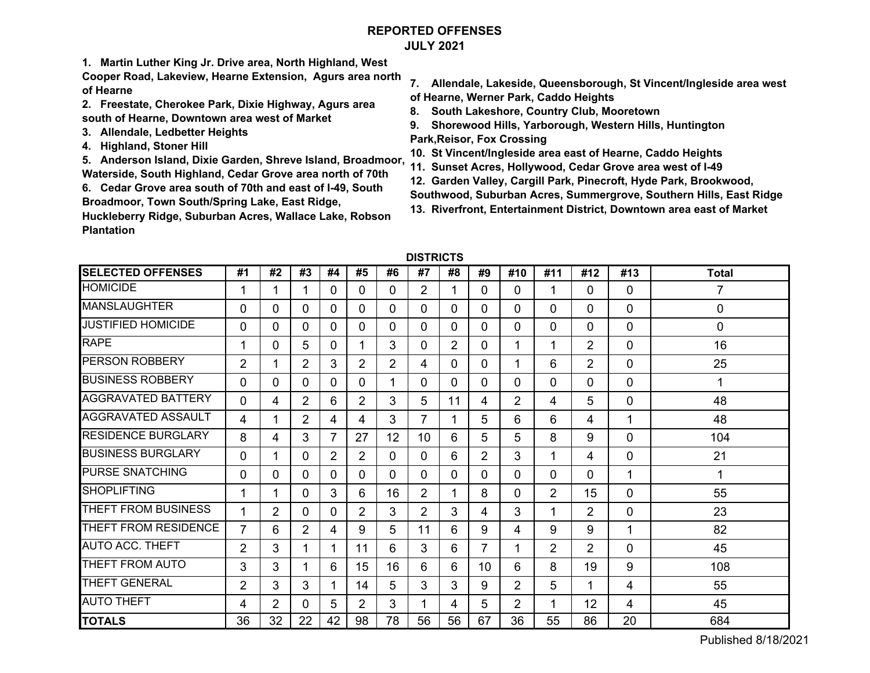# **REPORTED OFFENSESJULY 2021**

**1. Martin Luther King Jr. Drive area, North Highland, West** 

**Cooper Road, Lakeview, Hearne Extension, Agurs area north of Hearne**

- **2. Freestate, Cherokee Park, Dixie Highway, Agurs area south of Hearne, Downtown area west of Market**
- **3. Allendale, Ledbetter Heights**
- **4. Highland, Stoner Hill**

**5. Anderson Island, Dixie Garden, Shreve Island, Broadmoor, Waterside, South Highland, Cedar Grove area north of 70th**

**6. Cedar Grove area south of 70th and east of I-49, South Broadmoor, Town South/Spring Lake, East Ridge,** 

**Huckleberry Ridge, Suburban Acres, Wallace Lake, Robson Plantation** 

- **7. Allendale, Lakeside, Queensborough, St Vincent/Ingleside area west of Hearne, Werner Park, Caddo Heights**
- **8. South Lakeshore, Country Club, Mooretown**
- **9. Shorewood Hills, Yarborough, Western Hills, Huntington Park,Reisor, Fox Crossing**
- **10. St Vincent/Ingleside area east of Hearne, Caddo Heights**
- **11. Sunset Acres, Hollywood, Cedar Grove area west of I-49**
- **12. Garden Valley, Cargill Park, Pinecroft, Hyde Park, Brookwood,**
- **Southwood, Suburban Acres, Summergrove, Southern Hills, East Ridge**
- **13. Riverfront, Entertainment District, Downtown area east of Market**

| DISTRICTS |  |
|-----------|--|
|-----------|--|

| <b>SELECTED OFFENSES</b>   | #1             | #2             | #3             | #4             | #5             | #6             | #7              | #8             | #9             | #10            | #11 | #12            | #13 | <b>Total</b> |
|----------------------------|----------------|----------------|----------------|----------------|----------------|----------------|-----------------|----------------|----------------|----------------|-----|----------------|-----|--------------|
| <b>HOMICIDE</b>            |                |                |                | 0              | 0              | 0              | $\overline{2}$  |                | 0              | 0              | 1   | $\Omega$       | 0   | 7            |
| <b>MANSLAUGHTER</b>        | 0              | 0              | 0              | 0              | 0              | 0              | 0               | $\Omega$       | $\Omega$       | 0              | 0   | 0              | 0   | 0            |
| <b>JUSTIFIED HOMICIDE</b>  | 0              | $\mathbf{0}$   | 0              | $\Omega$       | 0              | 0              | 0               | $\Omega$       | $\Omega$       | 0              | 0   | $\Omega$       | 0   | 0            |
| <b>RAPE</b>                |                | 0              | 5              | $\Omega$       | 1              | 3              | 0               | $\overline{2}$ | $\Omega$       |                | 1   | $\overline{2}$ | 0   | 16           |
| <b>PERSON ROBBERY</b>      | $\overline{2}$ |                | $\overline{2}$ | 3              | $\overline{2}$ | $\overline{2}$ | 4               | $\Omega$       | 0              |                | 6   | $\overline{2}$ | 0   | 25           |
| <b>BUSINESS ROBBERY</b>    | 0              | 0              | 0              | 0              | 0              |                | 0               | $\Omega$       | $\Omega$       | 0              | 0   | $\Omega$       | 0   | 1            |
| <b>AGGRAVATED BATTERY</b>  | 0              | 4              | $\overline{2}$ | 6              | $\overline{2}$ | 3              | 5               | 11             | 4              | 2              | 4   | 5              | 0   | 48           |
| <b>AGGRAVATED ASSAULT</b>  | 4              | 1              | $\overline{2}$ | 4              | 4              | 3              | 7               |                | 5              | 6              | 6   | 4              | 1   | 48           |
| <b>RESIDENCE BURGLARY</b>  | 8              | 4              | 3              | $\overline{7}$ | 27             | 12             | 10 <sup>1</sup> | 6              | 5              | 5              | 8   | 9              | 0   | 104          |
| <b>BUSINESS BURGLARY</b>   | 0              | 1              | 0              | $\overline{2}$ | $\overline{2}$ | 0              | 0               | 6              | 2              | 3              | 1   | 4              | 0   | 21           |
| <b>PURSE SNATCHING</b>     | 0              | $\Omega$       | 0              | 0              | 0              | 0              | 0               | $\Omega$       | $\Omega$       | 0              | 0   | $\Omega$       | 1   | 1            |
| <b>SHOPLIFTING</b>         |                | 1              | 0              | 3              | 6              | 16             | $\overline{2}$  |                | 8              | 0              | 2   | 15             | 0   | 55           |
| <b>THEFT FROM BUSINESS</b> |                | 2              | 0              | $\Omega$       | $\overline{2}$ | 3              | $\overline{2}$  | 3              | 4              | 3              | 1   | $\overline{2}$ | 0   | 23           |
| THEFT FROM RESIDENCE       | $\overline{7}$ | 6              | $\overline{2}$ | 4              | 9              | 5              | 11              | 6              | 9              | 4              | 9   | 9              | 1   | 82           |
| <b>AUTO ACC. THEFT</b>     | $\overline{2}$ | 3              |                |                | 11             | 6              | 3               | 6              | $\overline{7}$ |                | 2   | $\overline{2}$ | 0   | 45           |
| THEFT FROM AUTO            | 3              | 3              |                | 6              | 15             | 16             | 6               | 6              | 10             | 6              | 8   | 19             | 9   | 108          |
| <b>THEFT GENERAL</b>       | $\overline{2}$ | 3              | 3              |                | 14             | 5              | 3               | 3              | 9              | $\overline{2}$ | 5   | 1              | 4   | 55           |
| <b>AUTO THEFT</b>          | 4              | $\overline{2}$ | 0              | 5              | $\overline{2}$ | 3              | 1               | 4              | 5              | $\overline{2}$ | 1   | 12             | 4   | 45           |
| <b>TOTALS</b>              | 36             | 32             | 22             | 42             | 98             | 78             | 56              | 56             | 67             | 36             | 55  | 86             | 20  | 684          |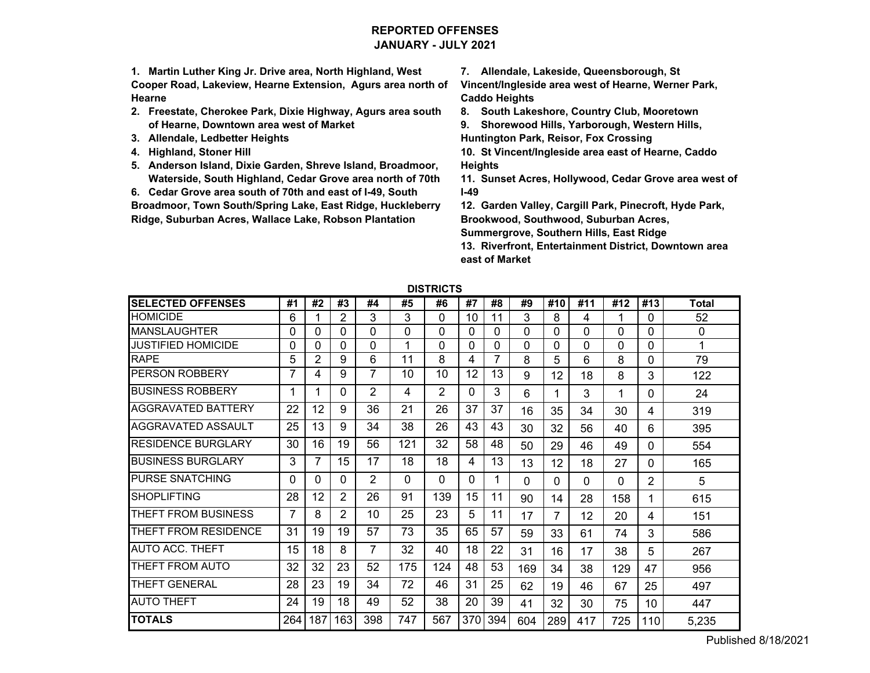# **REPORTED OFFENSESJANUARY - JULY 2021**

**1. Martin Luther King Jr. Drive area, North Highland, West Cooper Road, Lakeview, Hearne Extension, Agurs area north of Hearne**

- **2. Freestate, Cherokee Park, Dixie Highway, Agurs area south of Hearne, Downtown area west of Market**
- **3. Allendale, Ledbetter Heights**
- **4. Highland, Stoner Hill**
- **5. Anderson Island, Dixie Garden, Shreve Island, Broadmoor, Waterside, South Highland, Cedar Grove area north of 70th**

**6. Cedar Grove area south of 70th and east of I-49, South** 

**Broadmoor, Town South/Spring Lake, East Ridge, Huckleberry Ridge, Suburban Acres, Wallace Lake, Robson Plantation** 

**7. Allendale, Lakeside, Queensborough, St** 

**Vincent/Ingleside area west of Hearne, Werner Park, Caddo Heights**

**8. South Lakeshore, Country Club, Mooretown**

**9. Shorewood Hills, Yarborough, Western Hills, Huntington Park, Reisor, Fox Crossing**

**10. St Vincent/Ingleside area east of Hearne, Caddo Heights**

**11. Sunset Acres, Hollywood, Cedar Grove area west of I-49**

**12. Garden Valley, Cargill Park, Pinecroft, Hyde Park, Brookwood, Southwood, Suburban Acres,** 

**Summergrove, Southern Hills, East Ridge**

**13. Riverfront, Entertainment District, Downtown area east of Market**

| <b>SELECTED OFFENSES</b>  | #1       | #2  | #3       | #4             | #5       | #6             | #7       | #8       | #9       | #10      | #11 | #12 | #13 | <b>Total</b> |
|---------------------------|----------|-----|----------|----------------|----------|----------------|----------|----------|----------|----------|-----|-----|-----|--------------|
| <b>HOMICIDE</b>           | 6        |     | 2        | 3              | 3        | 0              | 10       | 11       | 3        | 8        | 4   | 1   | 0   | 52           |
| <b>MANSLAUGHTER</b>       | 0        | U   | 0        | 0              | $\Omega$ | 0              | 0        | $\Omega$ | $\Omega$ | 0        | 0   | 0   | 0   | 0            |
| JUSTIFIED HOMICIDE        | 0        | 0   | 0        | 0              | 4        | 0              | 0        | $\Omega$ | 0        | 0        | 0   | 0   | 0   | 1            |
| <b>RAPE</b>               | 5        | 2   | 9        | 6              | 11       | 8              | 4        | 7        | 8        | 5        | 6   | 8   | 0   | 79           |
| PERSON ROBBERY            |          | 4   | 9        | $\overline{7}$ | 10       | 10             | 12       | 13       | 9        | 12       | 18  | 8   | 3   | 122          |
| BUSINESS ROBBERY          |          |     | 0        | 2              | 4        | $\overline{2}$ | 0        | 3        | 6        |          | 3   | 1   | 0   | 24           |
| AGGRAVATED BATTERY        | 22       | 12  | 9        | 36             | 21       | 26             | 37       | 37       | 16       | 35       | 34  | 30  | 4   | 319          |
| AGGRAVATED ASSAULT        | 25       | 13  | 9        | 34             | 38       | 26             | 43       | 43       | 30       | 32       | 56  | 40  | 6   | 395          |
| <b>RESIDENCE BURGLARY</b> | 30       | 16  | 19       | 56             | 121      | 32             | 58       | 48       | 50       | 29       | 46  | 49  | 0   | 554          |
| <b>BUSINESS BURGLARY</b>  | 3        |     | 15       | 17             | 18       | 18             | 4        | 13       | 13       | 12       | 18  | 27  | 0   | 165          |
| <b>PURSE SNATCHING</b>    | $\Omega$ | 0   | $\Omega$ | 2              | $\Omega$ | 0              | $\Omega$ |          | $\Omega$ | $\Omega$ | 0   | 0   | 2   | 5            |
| <b>SHOPLIFTING</b>        | 28       | 12  | 2        | 26             | 91       | 139            | 15       | 11       | 90       | 14       | 28  | 158 | 1   | 615          |
| THEFT FROM BUSINESS       |          | 8   | 2        | 10             | 25       | 23             | 5        | 11       | 17       | 7        | 12  | 20  | 4   | 151          |
| THEFT FROM RESIDENCE      | 31       | 19  | 19       | 57             | 73       | 35             | 65       | 57       | 59       | 33       | 61  | 74  | 3   | 586          |
| <b>AUTO ACC. THEFT</b>    | 15       | 18  | 8        | $\overline{7}$ | 32       | 40             | 18       | 22       | 31       | 16       | 17  | 38  | 5   | 267          |
| THEFT FROM AUTO           | 32       | 32  | 23       | 52             | 175      | 124            | 48       | 53       | 169      | 34       | 38  | 129 | 47  | 956          |
| THEFT GENERAL             | 28       | 23  | 19       | 34             | 72       | 46             | 31       | 25       | 62       | 19       | 46  | 67  | 25  | 497          |
| <b>AUTO THEFT</b>         | 24       | 19  | 18       | 49             | 52       | 38             | 20       | 39       | 41       | 32       | 30  | 75  | 10  | 447          |
| <b>TOTALS</b>             | 264      | 187 | 163      | 398            | 747      | 567            | 370      | 394      | 604      | 289      | 417 | 725 | 110 | 5,235        |

**DISTRICTS**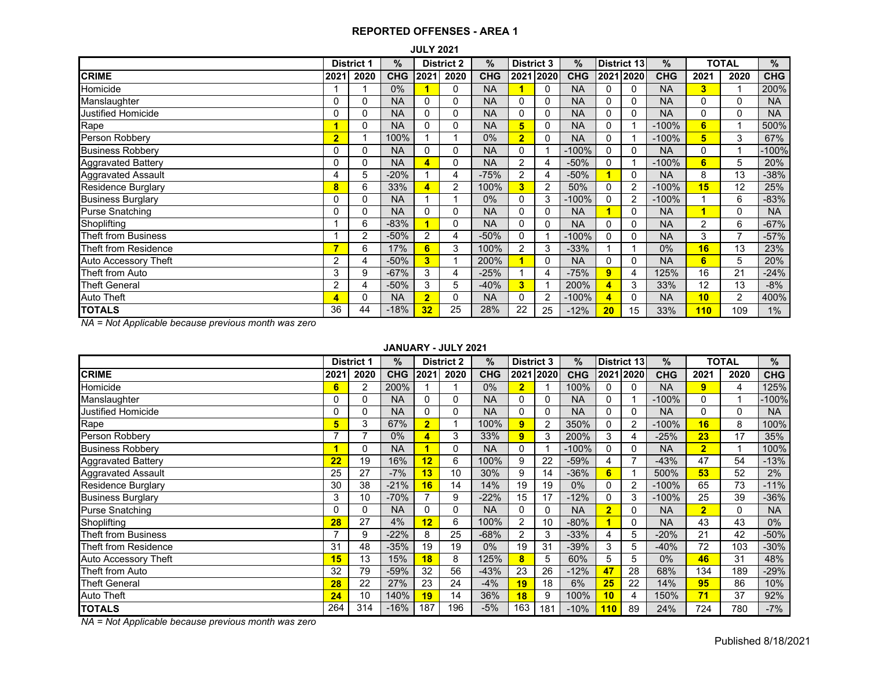|                           | <b>JULY 2021</b><br><b>TOTAL</b><br><b>District 3</b><br><b>District 2</b> |      |            |                         |      |            |                |                |            |             |              |            |      |                |            |
|---------------------------|----------------------------------------------------------------------------|------|------------|-------------------------|------|------------|----------------|----------------|------------|-------------|--------------|------------|------|----------------|------------|
|                           | <b>District 1</b>                                                          |      | %          |                         |      | $\%$       |                |                | $\%$       | District 13 |              | $\%$       |      |                | %          |
| <b>CRIME</b>              | 2021                                                                       | 2020 | <b>CHG</b> | 2021                    | 2020 | <b>CHG</b> |                | 2021 2020      | <b>CHG</b> |             | 2021 2020    | <b>CHG</b> | 2021 | 2020           | <b>CHG</b> |
| Homicide                  |                                                                            |      | $0\%$      |                         | 0    | <b>NA</b>  |                | 0              | <b>NA</b>  | 0           | $\Omega$     | <b>NA</b>  | 3    |                | 200%       |
| Manslaughter              | 0                                                                          | 0    | <b>NA</b>  | 0                       | 0    | <b>NA</b>  | 0              | 0              | <b>NA</b>  | 0           | 0            | <b>NA</b>  | 0    | $\Omega$       | <b>NA</b>  |
| <b>Justified Homicide</b> | 0                                                                          | 0    | <b>NA</b>  | 0                       | 0    | <b>NA</b>  | 0              | 0              | <b>NA</b>  | 0           | 0            | <b>NA</b>  | 0    | $\Omega$       | <b>NA</b>  |
| Rape                      | 1                                                                          | 0    | <b>NA</b>  | 0                       | 0    | <b>NA</b>  | 5              | 0              | <b>NA</b>  | 0           |              | $-100%$    | 6    |                | 500%       |
| Person Robbery            | $\overline{2}$                                                             |      | 100%       |                         |      | $0\%$      | $\overline{2}$ | 0              | <b>NA</b>  | 0           |              | $-100%$    | 5    | 3              | 67%        |
| <b>Business Robbery</b>   | 0                                                                          | 0    | <b>NA</b>  | $\Omega$                | 0    | <b>NA</b>  | $\Omega$       |                | $-100%$    | 0           | 0            | <b>NA</b>  | 0    |                | $-100%$    |
| <b>Aggravated Battery</b> | $\mathbf{0}$                                                               | 0    | <b>NA</b>  | $\overline{\mathbf{A}}$ | 0    | <b>NA</b>  | $\overline{2}$ | 4              | $-50%$     | 0           | 1            | $-100%$    | 6    | 5              | 20%        |
| <b>Aggravated Assault</b> | 4                                                                          | 5    | $-20%$     |                         | 4    | $-75%$     | 2              | 4              | $-50%$     |             | $\mathbf{0}$ | <b>NA</b>  | 8    | 13             | $-38%$     |
| <b>Residence Burglary</b> | 8                                                                          | 6    | 33%        | 4                       | 2    | 100%       | 3              | $\overline{2}$ | 50%        | 0           | 2            | $-100%$    | 15   | 12             | 25%        |
| <b>Business Burglary</b>  | 0                                                                          | 0    | <b>NA</b>  |                         |      | $0\%$      | 0              | 3              | $-100%$    | 0           | 2            | $-100%$    | 1    | 6              | $-83%$     |
| <b>Purse Snatching</b>    | 0                                                                          | 0    | <b>NA</b>  | 0                       | 0    | <b>NA</b>  | 0              | 0              | <b>NA</b>  |             | $\mathbf{0}$ | <b>NA</b>  |      | $\Omega$       | <b>NA</b>  |
| Shoplifting               |                                                                            | 6    | $-83%$     |                         | 0    | <b>NA</b>  | $\Omega$       | 0              | <b>NA</b>  | O           | $\Omega$     | <b>NA</b>  | 2    | 6              | $-67%$     |
| Theft from Business       |                                                                            | 2    | $-50%$     | $\overline{2}$          | 4    | $-50%$     | 0              |                | $-100%$    | 0           | 0            | <b>NA</b>  | 3    | ⇁              | $-57%$     |
| Theft from Residence      | 7                                                                          | 6    | 17%        | 6                       | 3    | 100%       | 2              | 3              | $-33%$     |             |              | 0%         | 16   | 13             | 23%        |
| Auto Accessory Theft      | 2                                                                          | 4    | $-50%$     | 3                       |      | 200%       |                | 0              | <b>NA</b>  | 0           | 0            | <b>NA</b>  | 6    | 5              | 20%        |
| Theft from Auto           | 3                                                                          | 9    | $-67%$     | 3                       | 4    | $-25%$     |                | 4              | $-75%$     | 9           | 4            | 125%       | 16   | 21             | $-24%$     |
| <b>Theft General</b>      | 2                                                                          | 4    | $-50%$     | 3                       | 5    | $-40%$     | 3              |                | 200%       | 4           | 3            | 33%        | 12   | 13             | $-8%$      |
| Auto Theft                | 4                                                                          | 0    | <b>NA</b>  | $\overline{2}$          | 0    | <b>NA</b>  | 0              | $\overline{2}$ | $-100%$    | 4           | 0            | <b>NA</b>  | 10   | $\overline{2}$ | 400%       |
| <b>TOTALS</b>             | 36                                                                         | 44   | $-18%$     | 32                      | 25   | 28%        | 22             | 25             | $-12%$     | 20          | 15           | 33%        | 110  | 109            | 1%         |

*NA = Not Applicable because previous month was zero*

#### **JANUARY - JULY 2021**

|                            |      | <b>District 1</b> | %          |                | <b>District 2</b> | %          | <b>District 3</b>       |           | $\%$       | <b>District 13</b> |          | $\frac{9}{6}$ |                | <b>TOTAL</b> | %          |
|----------------------------|------|-------------------|------------|----------------|-------------------|------------|-------------------------|-----------|------------|--------------------|----------|---------------|----------------|--------------|------------|
| <b>CRIME</b>               | 2021 | 2020              | <b>CHG</b> | 2021           | 2020              | <b>CHG</b> |                         | 2021 2020 | <b>CHG</b> | 2021 2020          |          | <b>CHG</b>    | 2021           | 2020         | <b>CHG</b> |
| Homicide                   | 6    | $\overline{2}$    | 200%       |                |                   | 0%         | $\overline{\mathbf{2}}$ |           | 100%       |                    | 0        | <b>NA</b>     | 9              | 4            | 125%       |
| Manslaughter               | 0    | 0                 | <b>NA</b>  | 0              | 0                 | <b>NA</b>  | 0                       | 0         | <b>NA</b>  | 0                  |          | $-100%$       | 0              |              | 100%       |
| Justified Homicide         | 0    | 0                 | <b>NA</b>  | $\Omega$       | 0                 | <b>NA</b>  | 0                       | 0         | <b>NA</b>  | 0                  | $\Omega$ | <b>NA</b>     | 0              | 0            | <b>NA</b>  |
| Rape                       | 5    | 3                 | 67%        | $\overline{2}$ |                   | 100%       | 9                       | 2         | 350%       |                    | 2        | $-100%$       | 16             | 8            | 100%       |
| Person Robbery             | 7    | 7                 | $0\%$      | 4              | 3                 | 33%        | $\overline{9}$          | 3         | 200%       | 3                  | 4        | $-25%$        | 23             | 17           | 35%        |
| <b>Business Robbery</b>    |      | 0                 | <b>NA</b>  |                | 0                 | <b>NA</b>  |                         |           | $-100%$    | $\Omega$           | $\Omega$ | <b>NA</b>     | $\overline{2}$ | 1            | 100%       |
| <b>Aggravated Battery</b>  | 22   | 19                | 16%        | 12             | 6                 | 100%       | 9                       | 22        | $-59%$     | 4                  | 7        | $-43%$        | 47             | 54           | $-13%$     |
| Aggravated Assault         | 25   | 27                | $-7%$      | 13             | 10                | 30%        | 9                       | 14        | $-36%$     | 6                  |          | 500%          | 53             | 52           | 2%         |
| <b>Residence Burglary</b>  | 30   | 38                | $-21%$     | 16             | 14                | 14%        | 19                      | 19        | $0\%$      | 0                  | 2        | $-100%$       | 65             | 73           | $-11%$     |
| <b>Business Burglary</b>   | 3    | 10                | $-70%$     |                | 9                 | $-22%$     | 15                      | 17        | $-12%$     | $\Omega$           | 3        | $-100%$       | 25             | 39           | $-36%$     |
| <b>Purse Snatching</b>     | 0    | 0                 | <b>NA</b>  | 0              | 0                 | <b>NA</b>  | 0                       | 0         | <b>NA</b>  | $\overline{2}$     | $\Omega$ | <b>NA</b>     | $\overline{2}$ | 0            | <b>NA</b>  |
| Shoplifting                | 28   | 27                | 4%         | 12             | 6                 | 100%       | 2                       | 10        | $-80%$     |                    | 0        | <b>NA</b>     | 43             | 43           | $0\%$      |
| <b>Theft from Business</b> | 7    | 9                 | $-22%$     | 8              | 25                | $-68%$     | 2                       | 3         | $-33%$     | 4                  | 5        | $-20%$        | 21             | 42           | $-50%$     |
| Theft from Residence       | 31   | 48                | $-35%$     | 19             | 19                | $0\%$      | 19                      | 31        | $-39%$     | 3                  | 5        | $-40%$        | 72             | 103          | $-30%$     |
| Auto Accessory Theft       | 15   | 13                | 15%        | 18             | 8                 | 125%       | 8                       | 5         | 60%        | 5                  | 5        | $0\%$         | 46             | 31           | 48%        |
| Theft from Auto            | 32   | 79                | $-59%$     | 32             | 56                | $-43%$     | 23                      | 26        | -12%       | 47                 | 28       | 68%           | 134            | 189          | $-29%$     |
| <b>Theft General</b>       | 28   | 22                | 27%        | 23             | 24                | $-4%$      | 19                      | 18        | 6%         | 25                 | 22       | 14%           | 95             | 86           | 10%        |
| <b>Auto Theft</b>          | 24   | 10                | 140%       | 19             | 14                | 36%        | 18                      | 9         | 100%       | 10                 | 4        | 150%          | 71             | 37           | 92%        |
| <b>TOTALS</b>              | 264  | 314               | $-16%$     | 187            | 196               | $-5%$      | 163                     | 181       | $-10%$     | 110                | 89       | 24%           | 724            | 780          | $-7%$      |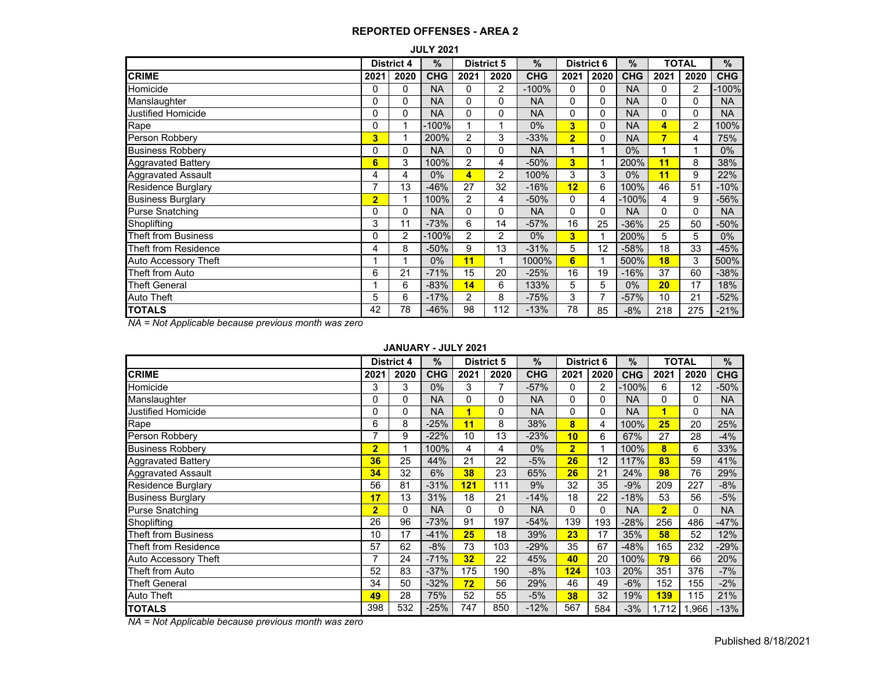|                           | <b>JULY 2021</b><br><b>District 5</b><br><b>District 4</b> |      |            |                |                |            |                         |      |            |              |                |            |  |  |  |
|---------------------------|------------------------------------------------------------|------|------------|----------------|----------------|------------|-------------------------|------|------------|--------------|----------------|------------|--|--|--|
|                           |                                                            |      | $\%$       |                |                | $\%$       | <b>District 6</b>       |      | $\%$       | <b>TOTAL</b> |                | $\%$       |  |  |  |
| <b>CRIME</b>              | 2021                                                       | 2020 | <b>CHG</b> | 2021           | 2020           | <b>CHG</b> | 2021                    | 2020 | <b>CHG</b> | 2021         | 2020           | <b>CHG</b> |  |  |  |
| Homicide                  | 0                                                          | 0    | <b>NA</b>  | 0              | 2              | $-100%$    | 0                       | 0    | <b>NA</b>  | 0            | $\overline{2}$ | 100%       |  |  |  |
| Manslaughter              | 0                                                          | 0    | <b>NA</b>  | $\Omega$       | 0              | <b>NA</b>  | $\Omega$                | 0    | <b>NA</b>  | 0            | 0              | <b>NA</b>  |  |  |  |
| Justified Homicide        | 0                                                          | 0    | <b>NA</b>  | $\Omega$       | 0              | <b>NA</b>  | 0                       | 0    | <b>NA</b>  | 0            | $\Omega$       | <b>NA</b>  |  |  |  |
| Rape                      | 0                                                          |      | $-100%$    |                |                | 0%         | $\overline{\mathbf{3}}$ | 0    | <b>NA</b>  | 4            | 2              | 100%       |  |  |  |
| Person Robbery            | 3                                                          |      | 200%       | $\overline{2}$ | 3              | $-33%$     | $\overline{2}$          | 0    | <b>NA</b>  | 7            | 4              | 75%        |  |  |  |
| <b>Business Robbery</b>   | 0                                                          | 0    | <b>NA</b>  | $\Omega$       | 0              | <b>NA</b>  |                         |      | 0%         |              |                | $0\%$      |  |  |  |
| <b>Aggravated Battery</b> | 6                                                          | 3    | 100%       | $\overline{2}$ | 4              | $-50%$     | 3                       |      | 200%       | 11           | 8              | 38%        |  |  |  |
| Aggravated Assault        | 4                                                          | 4    | $0\%$      | 4              | $\overline{2}$ | 100%       | 3                       | 3    | 0%         | 11           | 9              | 22%        |  |  |  |
| Residence Burglary        | 7                                                          | 13   | $-46%$     | 27             | 32             | $-16%$     | 12                      | 6    | 100%       | 46           | 51             | $-10%$     |  |  |  |
| <b>Business Burglary</b>  | $\overline{2}$                                             |      | 100%       | $\overline{2}$ | 4              | $-50%$     | 0                       | 4    | $-100%$    | 4            | 9              | -56%       |  |  |  |
| Purse Snatching           | 0                                                          | 0    | <b>NA</b>  | $\Omega$       | 0              | <b>NA</b>  | $\Omega$                | 0    | <b>NA</b>  | 0            | 0              | <b>NA</b>  |  |  |  |
| Shoplifting               | 3                                                          | 11   | $-73%$     | 6              | 14             | $-57%$     | 16                      | 25   | $-36%$     | 25           | 50             | -50%       |  |  |  |
| Theft from Business       | 0                                                          | 2    | $-100%$    | 2              | 2              | 0%         | 3                       |      | 200%       | 5            | 5              | $0\%$      |  |  |  |
| Theft from Residence      | 4                                                          | 8    | $-50%$     | 9              | 13             | $-31%$     | 5                       | 12   | $-58%$     | 18           | 33             | $-45%$     |  |  |  |
| Auto Accessory Theft      |                                                            |      | $0\%$      | 11             |                | 1000%      | 6                       |      | 500%       | 18           | 3              | 500%       |  |  |  |
| Theft from Auto           | 6                                                          | 21   | $-71%$     | 15             | 20             | $-25%$     | 16                      | 19   | $-16%$     | 37           | 60             | -38%       |  |  |  |
| Theft General             |                                                            | 6    | $-83%$     | 14             | 6              | 133%       | 5                       | 5    | 0%         | 20           | 17             | 18%        |  |  |  |
| Auto Theft                | 5                                                          | 6    | $-17%$     | $\overline{2}$ | 8              | $-75%$     | 3                       |      | $-57%$     | 10           | 21             | $-52%$     |  |  |  |
| <b>TOTALS</b>             | 42                                                         | 78   | $-46%$     | 98             | 112            | $-13%$     | 78                      | 85   | $-8%$      | 218          | 275            | $-21%$     |  |  |  |

*NA = Not Applicable because previous month was zero*

#### **JANUARY - JULY 2021**

|                             | <b>District 4</b> |          | $\frac{9}{6}$ | <b>District 5</b>       |      | $\frac{9}{6}$ | <b>District 6</b> |      | ΤΟΤΑL<br>% |                |              | %          |
|-----------------------------|-------------------|----------|---------------|-------------------------|------|---------------|-------------------|------|------------|----------------|--------------|------------|
| <b>CRIME</b>                | 2021              | 2020     | <b>CHG</b>    | 2021                    | 2020 | <b>CHG</b>    | 2021              | 2020 | <b>CHG</b> | 2021           | 2020         | <b>CHG</b> |
| Homicide                    | 3                 | 3        | $0\%$         | 3                       | 7    | $-57%$        | 0                 | 2    | $-100%$    | 6              | 12           | $-50%$     |
| Manslaughter                | 0                 | 0        | <b>NA</b>     | 0                       | 0    | <b>NA</b>     | 0                 | 0    | <b>NA</b>  | $\Omega$       | $\Omega$     | <b>NA</b>  |
| <b>Justified Homicide</b>   | 0                 | $\Omega$ | <b>NA</b>     | $\overline{\mathbf{1}}$ | 0    | <b>NA</b>     | 0                 | 0    | <b>NA</b>  | 1              | $\mathbf{0}$ | <b>NA</b>  |
| Rape                        | 6                 | 8        | $-25%$        | 11                      | 8    | 38%           | 8                 | 4    | 100%       | 25             | 20           | 25%        |
| Person Robbery              | 7                 | 9        | $-22%$        | 10                      | 13   | $-23%$        | 10                | 6    | 67%        | 27             | 28           | $-4%$      |
| <b>Business Robbery</b>     | $\overline{2}$    |          | 100%          | 4                       | 4    | $0\%$         | $\overline{2}$    | 1    | 100%       | 8              | 6            | 33%        |
| <b>Aggravated Battery</b>   | 36                | 25       | 44%           | 21                      | 22   | $-5%$         | 26                | 12   | 117%       | 83             | 59           | 41%        |
| <b>Aggravated Assault</b>   | 34                | 32       | 6%            | 38                      | 23   | 65%           | 26                | 21   | 24%        | 98             | 76           | 29%        |
| Residence Burglary          | 56                | 81       | $-31%$        | 121                     | 111  | 9%            | 32                | 35   | $-9%$      | 209            | 227          | $-8%$      |
| <b>Business Burglary</b>    | 17                | 13       | 31%           | 18                      | 21   | $-14%$        | 18                | 22   | $-18%$     | 53             | 56           | $-5%$      |
| <b>Purse Snatching</b>      | $\overline{2}$    | 0        | <b>NA</b>     | 0                       | 0    | <b>NA</b>     | 0                 | 0    | <b>NA</b>  | $\overline{2}$ | $\Omega$     | <b>NA</b>  |
| Shoplifting                 | 26                | 96       | $-73%$        | 91                      | 197  | $-54%$        | 139               | 193  | $-28%$     | 256            | 486          | $-47%$     |
| <b>Theft from Business</b>  | 10                | 17       | $-41%$        | 25                      | 18   | 39%           | 23                | 17   | 35%        | 58             | 52           | 12%        |
| Theft from Residence        | 57                | 62       | $-8%$         | 73                      | 103  | $-29%$        | 35                | 67   | $-48%$     | 165            | 232          | -29%       |
| <b>Auto Accessory Theft</b> | 7                 | 24       | $-71%$        | 32                      | 22   | 45%           | 40                | 20   | 100%       | 79             | 66           | 20%        |
| Theft from Auto             | 52                | 83       | $-37%$        | 175                     | 190  | $-8%$         | 124               | 103  | 20%        | 351            | 376          | $-7%$      |
| <b>Theft General</b>        | 34                | 50       | $-32%$        | 72                      | 56   | 29%           | 46                | 49   | $-6%$      | 152            | 155          | $-2%$      |
| <b>Auto Theft</b>           | 49                | 28       | 75%           | 52                      | 55   | $-5%$         | 38                | 32   | 19%        | 139            | 115          | 21%        |
| <b>TOTALS</b>               | 398               | 532      | $-25%$        | 747                     | 850  | $-12%$        | 567               | 584  | $-3%$      | 1,712          | 1,966        | $-13%$     |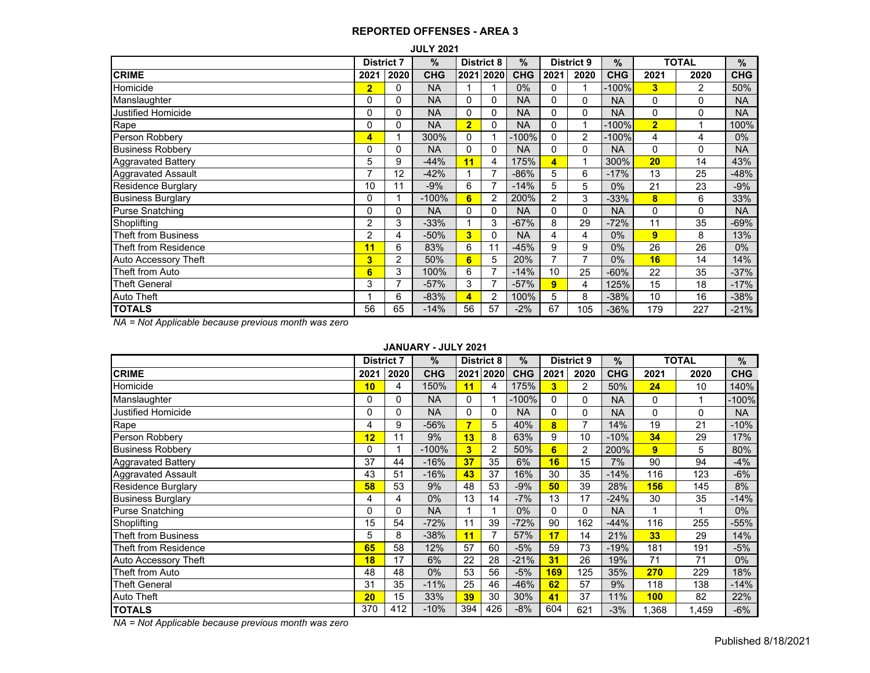|                             | <b>JULY 2021</b><br><b>TOTAL</b><br>$\%$<br><b>District 9</b><br><b>District 8</b><br><b>District 7</b> |                |            |                |                |                 |                |                |            |                |          |            |  |  |  |
|-----------------------------|---------------------------------------------------------------------------------------------------------|----------------|------------|----------------|----------------|-----------------|----------------|----------------|------------|----------------|----------|------------|--|--|--|
|                             |                                                                                                         |                |            |                |                | $\overline{\%}$ |                |                | $\%$       |                |          | %          |  |  |  |
| <b>CRIME</b>                | 2021                                                                                                    | 2020           | <b>CHG</b> | 2021           | 2020           | <b>CHG</b>      | 2021           | 2020           | <b>CHG</b> | 2021           | 2020     | <b>CHG</b> |  |  |  |
| Homicide                    | $\overline{2}$                                                                                          | 0              | <b>NA</b>  | 1              |                | 0%              | 0              | 1              | $-100%$    | 3              | 2        | 50%        |  |  |  |
| Manslaughter                | 0                                                                                                       | 0              | <b>NA</b>  | $\Omega$       | 0              | <b>NA</b>       | 0              | 0              | <b>NA</b>  | 0              | 0        | <b>NA</b>  |  |  |  |
| Justified Homicide          | 0                                                                                                       | 0              | <b>NA</b>  | $\Omega$       | 0              | <b>NA</b>       | 0              | 0              | <b>NA</b>  | 0              | 0        | <b>NA</b>  |  |  |  |
| Rape                        | 0                                                                                                       | 0              | <b>NA</b>  | $\overline{2}$ | 0              | <b>NA</b>       | 0              |                | $-100%$    | $\overline{2}$ |          | 100%       |  |  |  |
| Person Robbery              | 4                                                                                                       |                | 300%       | $\Omega$       |                | $-100%$         | 0              | 2              | $-100%$    | 4              | 4        | $0\%$      |  |  |  |
| <b>Business Robbery</b>     | Ω                                                                                                       | 0              | <b>NA</b>  | $\Omega$       | 0              | <b>NA</b>       | 0              | 0              | <b>NA</b>  | 0              | 0        | <b>NA</b>  |  |  |  |
| <b>Aggravated Battery</b>   | 5                                                                                                       | 9              | $-44%$     | 11             | 4              | 175%            | 4              | 4              | 300%       | 20             | 14       | 43%        |  |  |  |
| <b>Aggravated Assault</b>   | –                                                                                                       | 12             | $-42%$     |                | 7              | $-86%$          | 5              | 6              | $-17%$     | 13             | 25       | $-48%$     |  |  |  |
| Residence Burglary          | 10                                                                                                      | 11             | $-9%$      | 6              | $\overline{7}$ | $-14%$          | 5              | 5              | $0\%$      | 21             | 23       | $-9%$      |  |  |  |
| <b>Business Burglary</b>    | 0                                                                                                       |                | $-100%$    | 6              | 2              | 200%            | $\overline{2}$ | 3              | -33%       | 8              | 6        | 33%        |  |  |  |
| <b>Purse Snatching</b>      | $\Omega$                                                                                                | 0              | <b>NA</b>  | $\Omega$       | 0              | <b>NA</b>       | 0              | 0              | <b>NA</b>  | 0              | $\Omega$ | <b>NA</b>  |  |  |  |
| Shoplifting                 | 2                                                                                                       | 3              | $-33%$     |                | 3              | $-67%$          | 8              | 29             | $-72%$     | 11             | 35       | $-69%$     |  |  |  |
| Theft from Business         | 2                                                                                                       | 4              | -50%       | 3              | 0              | <b>NA</b>       | 4              | 4              | $0\%$      | $\overline{9}$ | 8        | 13%        |  |  |  |
| Theft from Residence        | 11                                                                                                      | 6              | 83%        | 6              | 11             | $-45%$          | 9              | 9              | $0\%$      | 26             | 26       | $0\%$      |  |  |  |
| <b>Auto Accessory Theft</b> | 3                                                                                                       | $\overline{c}$ | 50%        | 6              | 5              | 20%             | 7              | $\overline{7}$ | $0\%$      | 16             | 14       | 14%        |  |  |  |
| Theft from Auto             | 6                                                                                                       | 3              | 100%       | 6              | 7              | $-14%$          | 10             | 25             | $-60%$     | 22             | 35       | $-37%$     |  |  |  |
| <b>Theft General</b>        | 3                                                                                                       | $\overline{ }$ | $-57%$     | 3              | $\overline{7}$ | $-57%$          | 9              | 4              | 125%       | 15             | 18       | $-17%$     |  |  |  |
| Auto Theft                  |                                                                                                         | 6              | $-83%$     | 4              | 2              | 100%            | 5              | 8              | $-38%$     | 10             | 16       | $-38%$     |  |  |  |
| <b>TOTALS</b>               | 56                                                                                                      | 65             | $-14%$     | 56             | 57             | $-2%$           | 67             | 105            | $-36%$     | 179            | 227      | $-21%$     |  |  |  |

*NA = Not Applicable because previous month was zero*

# **JANUARY - JULY 2021**

|                            |      | $\%$<br><b>District 7</b> |            | <b>District 8</b> |                | %          | <b>District 9</b>       |      | $\frac{0}{0}$ |          | <b>TOTAL</b> |            |
|----------------------------|------|---------------------------|------------|-------------------|----------------|------------|-------------------------|------|---------------|----------|--------------|------------|
| <b>CRIME</b>               | 2021 | 2020                      | <b>CHG</b> | 2021              | 2020           | <b>CHG</b> | 2021                    | 2020 | <b>CHG</b>    | 2021     | 2020         | <b>CHG</b> |
| Homicide                   | 10   | 4                         | 150%       | 11                | 4              | 175%       | $\overline{\mathbf{3}}$ | 2    | 50%           | 24       | 10           | 140%       |
| Manslaughter               | 0    | 0                         | <b>NA</b>  | $\Omega$          |                | $-100%$    | 0                       | 0    | <b>NA</b>     | 0        |              | $-100%$    |
| Justified Homicide         | 0    | $\Omega$                  | <b>NA</b>  | $\Omega$          | $\Omega$       | <b>NA</b>  | 0                       | 0    | <b>NA</b>     | $\Omega$ | 0            | <b>NA</b>  |
| Rape                       | 4    | 9                         | $-56%$     | 7                 | 5              | 40%        | 8                       | 7    | 14%           | 19       | 21           | $-10%$     |
| Person Robbery             | 12   | 11                        | 9%         | 13                | 8              | 63%        | 9                       | 10   | $-10%$        | 34       | 29           | 17%        |
| <b>Business Robbery</b>    | 0    |                           | $-100%$    | 3                 | $\overline{2}$ | 50%        | 6                       | 2    | 200%          | 9        | 5            | 80%        |
| <b>Aggravated Battery</b>  | 37   | 44                        | $-16%$     | 37                | 35             | 6%         | 16                      | 15   | 7%            | 90       | 94           | $-4%$      |
| <b>Aggravated Assault</b>  | 43   | 51                        | $-16%$     | 43                | 37             | 16%        | 30                      | 35   | $-14%$        | 116      | 123          | $-6%$      |
| Residence Burglary         | 58   | 53                        | 9%         | 48                | 53             | $-9%$      | 50                      | 39   | 28%           | 156      | 145          | 8%         |
| <b>Business Burglary</b>   | 4    | 4                         | $0\%$      | 13                | 14             | $-7%$      | 13                      | 17   | $-24%$        | 30       | 35           | $-14%$     |
| Purse Snatching            | 0    | $\Omega$                  | <b>NA</b>  |                   |                | 0%         | 0                       | 0    | <b>NA</b>     | 1        |              | 0%         |
| Shoplifting                | 15   | 54                        | $-72%$     | 11                | 39             | $-72%$     | 90                      | 162  | $-44%$        | 116      | 255          | $-55%$     |
| <b>Theft from Business</b> | 5    | 8                         | $-38%$     | 11                | 7              | 57%        | 17                      | 14   | 21%           | 33       | 29           | 14%        |
| Theft from Residence       | 65   | 58                        | 12%        | 57                | 60             | $-5%$      | 59                      | 73   | $-19%$        | 181      | 191          | $-5%$      |
| Auto Accessory Theft       | 18   | 17                        | 6%         | 22                | 28             | $-21%$     | 31                      | 26   | 19%           | 71       | 71           | $0\%$      |
| Theft from Auto            | 48   | 48                        | $0\%$      | 53                | 56             | $-5%$      | 169                     | 125  | 35%           | 270      | 229          | 18%        |
| <b>Theft General</b>       | 31   | 35                        | $-11%$     | 25                | 46             | $-46%$     | 62                      | 57   | 9%            | 118      | 138          | $-14%$     |
| Auto Theft                 | 20   | 15                        | 33%        | 39                | 30             | 30%        | 41                      | 37   | 11%           | 100      | 82           | 22%        |
| <b>TOTALS</b>              | 370  | 412                       | $-10%$     | 394               | 426            | $-8%$      | 604                     | 621  | $-3%$         | 1,368    | 1,459        | $-6%$      |